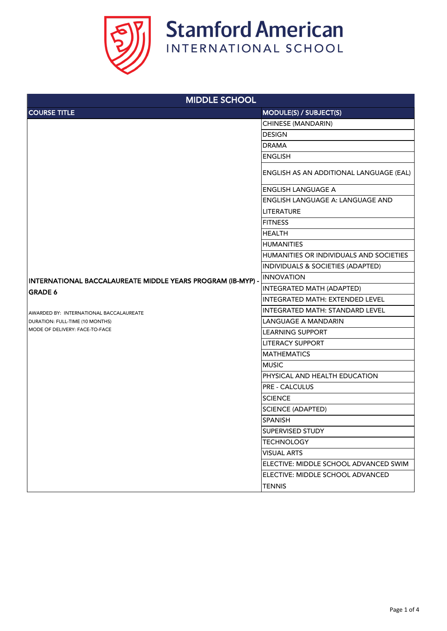

| <b>MIDDLE SCHOOL</b>                                                                                         |                                                |  |
|--------------------------------------------------------------------------------------------------------------|------------------------------------------------|--|
| <b>COURSE TITLE</b>                                                                                          | <b>MODULE(S) / SUBJECT(S)</b>                  |  |
|                                                                                                              | <b>CHINESE (MANDARIN)</b>                      |  |
|                                                                                                              | <b>DESIGN</b>                                  |  |
|                                                                                                              | <b>DRAMA</b>                                   |  |
|                                                                                                              | <b>ENGLISH</b>                                 |  |
|                                                                                                              | <b>ENGLISH AS AN ADDITIONAL LANGUAGE (EAL)</b> |  |
|                                                                                                              | <b>ENGLISH LANGUAGE A</b>                      |  |
|                                                                                                              | <b>ENGLISH LANGUAGE A: LANGUAGE AND</b>        |  |
|                                                                                                              | <b>LITERATURE</b>                              |  |
|                                                                                                              | <b>FITNESS</b>                                 |  |
|                                                                                                              | <b>HEALTH</b>                                  |  |
|                                                                                                              | <b>HUMANITIES</b>                              |  |
|                                                                                                              | HUMANITIES OR INDIVIDUALS AND SOCIETIES        |  |
|                                                                                                              | <b>INDIVIDUALS &amp; SOCIETIES (ADAPTED)</b>   |  |
| INTERNATIONAL BACCALAUREATE MIDDLE YEARS PROGRAM (IB-MYP) -                                                  | <b>INNOVATION</b>                              |  |
| <b>GRADE 6</b>                                                                                               | INTEGRATED MATH (ADAPTED)                      |  |
| AWARDED BY: INTERNATIONAL BACCALAUREATE<br>DURATION: FULL-TIME (10 MONTHS)<br>MODE OF DELIVERY: FACE-TO-FACE | INTEGRATED MATH: EXTENDED LEVEL                |  |
|                                                                                                              | INTEGRATED MATH: STANDARD LEVEL                |  |
|                                                                                                              | <b>LANGUAGE A MANDARIN</b>                     |  |
|                                                                                                              | <b>LEARNING SUPPORT</b>                        |  |
|                                                                                                              | <b>LITERACY SUPPORT</b>                        |  |
|                                                                                                              | <b>MATHEMATICS</b>                             |  |
|                                                                                                              | <b>MUSIC</b>                                   |  |
|                                                                                                              | PHYSICAL AND HEALTH EDUCATION                  |  |
|                                                                                                              | <b>PRE - CALCULUS</b>                          |  |
|                                                                                                              | <b>SCIENCE</b>                                 |  |
|                                                                                                              | <b>SCIENCE (ADAPTED)</b>                       |  |
|                                                                                                              | <b>SPANISH</b>                                 |  |
|                                                                                                              | <b>SUPERVISED STUDY</b>                        |  |
|                                                                                                              | <b>TECHNOLOGY</b>                              |  |
|                                                                                                              | <b>VISUAL ARTS</b>                             |  |
|                                                                                                              | ELECTIVE: MIDDLE SCHOOL ADVANCED SWIM          |  |
|                                                                                                              | ELECTIVE: MIDDLE SCHOOL ADVANCED               |  |
|                                                                                                              | <b>TENNIS</b>                                  |  |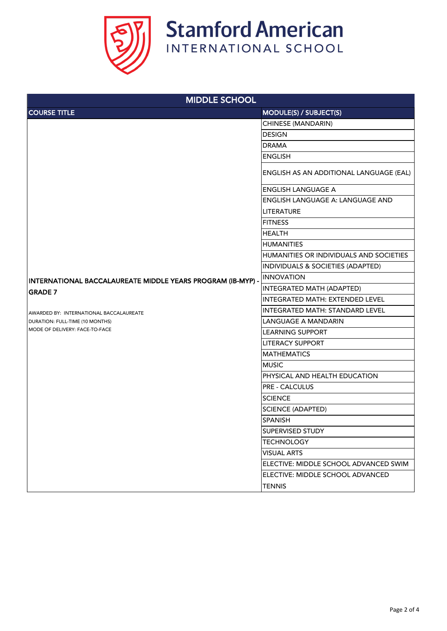

| <b>MIDDLE SCHOOL</b>                                                                                                           |                                                |  |
|--------------------------------------------------------------------------------------------------------------------------------|------------------------------------------------|--|
| <b>COURSE TITLE</b>                                                                                                            | <b>MODULE(S) / SUBJECT(S)</b>                  |  |
|                                                                                                                                | CHINESE (MANDARIN)                             |  |
|                                                                                                                                | <b>DESIGN</b>                                  |  |
|                                                                                                                                | <b>DRAMA</b>                                   |  |
|                                                                                                                                | <b>ENGLISH</b>                                 |  |
|                                                                                                                                | <b>ENGLISH AS AN ADDITIONAL LANGUAGE (EAL)</b> |  |
|                                                                                                                                | <b>ENGLISH LANGUAGE A</b>                      |  |
|                                                                                                                                | <b>ENGLISH LANGUAGE A: LANGUAGE AND</b>        |  |
|                                                                                                                                | <b>LITERATURE</b>                              |  |
|                                                                                                                                | <b>FITNESS</b>                                 |  |
|                                                                                                                                | <b>HEALTH</b>                                  |  |
|                                                                                                                                | <b>HUMANITIES</b>                              |  |
|                                                                                                                                | HUMANITIES OR INDIVIDUALS AND SOCIETIES        |  |
|                                                                                                                                | INDIVIDUALS & SOCIETIES (ADAPTED)              |  |
| INTERNATIONAL BACCALAUREATE MIDDLE YEARS PROGRAM (IB-MYP) -                                                                    | INNOVATION                                     |  |
| <b>GRADE 7</b><br>AWARDED BY: INTERNATIONAL BACCALAUREATE<br>DURATION: FULL-TIME (10 MONTHS)<br>MODE OF DELIVERY: FACE-TO-FACE | INTEGRATED MATH (ADAPTED)                      |  |
|                                                                                                                                | INTEGRATED MATH: EXTENDED LEVEL                |  |
|                                                                                                                                | <b>INTEGRATED MATH: STANDARD LEVEL</b>         |  |
|                                                                                                                                | <b>LANGUAGE A MANDARIN</b>                     |  |
|                                                                                                                                | <b>LEARNING SUPPORT</b>                        |  |
|                                                                                                                                | <b>LITERACY SUPPORT</b>                        |  |
|                                                                                                                                | <b>MATHEMATICS</b>                             |  |
|                                                                                                                                | <b>MUSIC</b>                                   |  |
|                                                                                                                                | PHYSICAL AND HEALTH EDUCATION                  |  |
|                                                                                                                                | <b>PRE - CALCULUS</b>                          |  |
|                                                                                                                                | <b>SCIENCE</b>                                 |  |
|                                                                                                                                | <b>SCIENCE (ADAPTED)</b>                       |  |
|                                                                                                                                | <b>SPANISH</b>                                 |  |
|                                                                                                                                | <b>SUPERVISED STUDY</b>                        |  |
|                                                                                                                                | <b>TECHNOLOGY</b>                              |  |
|                                                                                                                                | <b>VISUAL ARTS</b>                             |  |
|                                                                                                                                | ELECTIVE: MIDDLE SCHOOL ADVANCED SWIM          |  |
|                                                                                                                                | ELECTIVE: MIDDLE SCHOOL ADVANCED               |  |
|                                                                                                                                | <b>TENNIS</b>                                  |  |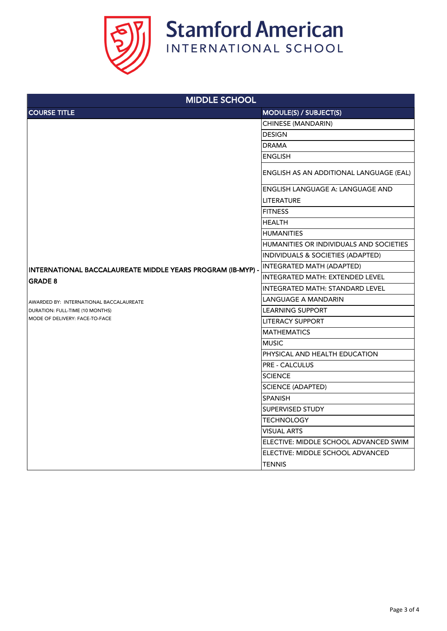

| <b>MIDDLE SCHOOL</b>                                        |                                         |  |
|-------------------------------------------------------------|-----------------------------------------|--|
| <b>COURSE TITLE</b>                                         | MODULE(S) / SUBJECT(S)                  |  |
|                                                             | CHINESE (MANDARIN)                      |  |
|                                                             | <b>DESIGN</b>                           |  |
|                                                             | <b>DRAMA</b>                            |  |
|                                                             | <b>ENGLISH</b>                          |  |
|                                                             | ENGLISH AS AN ADDITIONAL LANGUAGE (EAL) |  |
|                                                             | <b>ENGLISH LANGUAGE A: LANGUAGE AND</b> |  |
|                                                             | <b>LITERATURE</b>                       |  |
|                                                             | <b>FITNESS</b>                          |  |
|                                                             | <b>HEALTH</b>                           |  |
|                                                             | <b>HUMANITIES</b>                       |  |
|                                                             | HUMANITIES OR INDIVIDUALS AND SOCIETIES |  |
|                                                             | INDIVIDUALS & SOCIETIES (ADAPTED)       |  |
| INTERNATIONAL BACCALAUREATE MIDDLE YEARS PROGRAM (IB-MYP) - | INTEGRATED MATH (ADAPTED)               |  |
| <b>GRADE 8</b>                                              | INTEGRATED MATH: EXTENDED LEVEL         |  |
|                                                             | <b>INTEGRATED MATH: STANDARD LEVEL</b>  |  |
| AWARDED BY: INTERNATIONAL BACCALAUREATE                     | <b>LANGUAGE A MANDARIN</b>              |  |
| DURATION: FULL-TIME (10 MONTHS)                             | <b>LEARNING SUPPORT</b>                 |  |
| MODE OF DELIVERY: FACE-TO-FACE                              | <b>LITERACY SUPPORT</b>                 |  |
|                                                             | <b>MATHEMATICS</b>                      |  |
|                                                             | <b>MUSIC</b>                            |  |
|                                                             | PHYSICAL AND HEALTH EDUCATION           |  |
|                                                             | <b>PRE - CALCULUS</b>                   |  |
|                                                             | <b>SCIENCE</b>                          |  |
|                                                             | <b>SCIENCE (ADAPTED)</b>                |  |
|                                                             | <b>SPANISH</b>                          |  |
|                                                             | <b>SUPERVISED STUDY</b>                 |  |
|                                                             | <b>TECHNOLOGY</b>                       |  |
|                                                             | <b>VISUAL ARTS</b>                      |  |
|                                                             | ELECTIVE: MIDDLE SCHOOL ADVANCED SWIM   |  |
|                                                             | ELECTIVE: MIDDLE SCHOOL ADVANCED        |  |
|                                                             | <b>TENNIS</b>                           |  |